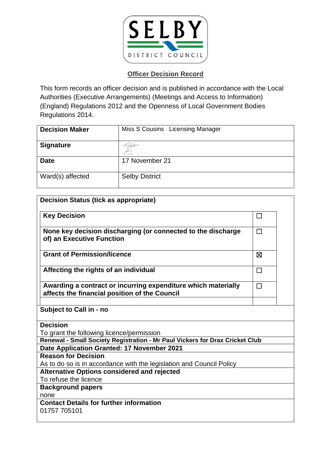

This form records an officer decision and is published in accordance with the Local Authorities (Executive Arrangements) (Meetings and Access to Information) (England) Regulations 2012 and the Openness of Local Government Bodies Regulations 2014.

| <b>Decision Maker</b> | Miss S Cousins Licensing Manager |
|-----------------------|----------------------------------|
| <b>Signature</b>      |                                  |
| <b>Date</b>           | 17 November 21                   |
| Ward(s) affected      | <b>Selby District</b>            |

| <b>Decision Status (tick as appropriate)</b>                                                                   |        |
|----------------------------------------------------------------------------------------------------------------|--------|
| <b>Key Decision</b>                                                                                            | П      |
| None key decision discharging (or connected to the discharge<br>of) an Executive Function                      | П      |
| <b>Grant of Permission/licence</b>                                                                             | ⊠      |
| Affecting the rights of an individual                                                                          | $\Box$ |
| Awarding a contract or incurring expenditure which materially<br>affects the financial position of the Council | $\Box$ |
|                                                                                                                |        |
| Subject to Call in - no                                                                                        |        |
| <b>Decision</b>                                                                                                |        |
| To grant the following licence/permission                                                                      |        |
| Renewal - Small Society Registration - Mr Paul Vickers for Drax Cricket Club                                   |        |
| Date Application Granted: 17 November 2021                                                                     |        |
| <b>Reason for Decision</b>                                                                                     |        |
| As to do so is in accordance with the legislation and Council Policy                                           |        |
| <b>Alternative Options considered and rejected</b>                                                             |        |
| To refuse the licence                                                                                          |        |
| <b>Background papers</b>                                                                                       |        |
| none<br><b>Contact Details for further information</b>                                                         |        |
| 01757 705101                                                                                                   |        |
|                                                                                                                |        |
|                                                                                                                |        |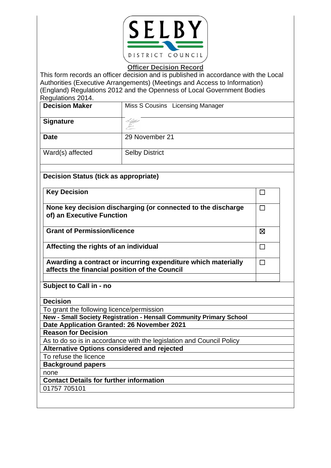

This form records an officer decision and is published in accordance with the Local Authorities (Executive Arrangements) (Meetings and Access to Information) (England) Regulations 2012 and the Openness of Local Government Bodies Regulations 2014.

| <b>Decision Maker</b>                                                                     | Miss S Cousins Licensing Manager |   |  |
|-------------------------------------------------------------------------------------------|----------------------------------|---|--|
| <b>Signature</b>                                                                          |                                  |   |  |
| <b>Date</b>                                                                               | 29 November 21                   |   |  |
| Ward(s) affected                                                                          | <b>Selby District</b>            |   |  |
| <b>Decision Status (tick as appropriate)</b>                                              |                                  |   |  |
| <b>Key Decision</b>                                                                       |                                  |   |  |
| None key decision discharging (or connected to the discharge<br>of) an Executive Function |                                  |   |  |
| <b>Grant of Permission/licence</b>                                                        |                                  | ⊠ |  |
| Affecting the rights of an individual                                                     |                                  |   |  |

 $\Box$ 

**Awarding a contract or incurring expenditure which materially affects the financial position of the Council**

**Subject to Call in - no**

**Decision**

To grant the following licence/permission

**New - Small Society Registration - Hensall Community Primary School Date Application Granted: 26 November 2021**

**Reason for Decision**

As to do so is in accordance with the legislation and Council Policy

**Alternative Options considered and rejected**

To refuse the licence

**Background papers**

none

**Contact Details for further information**

01757 705101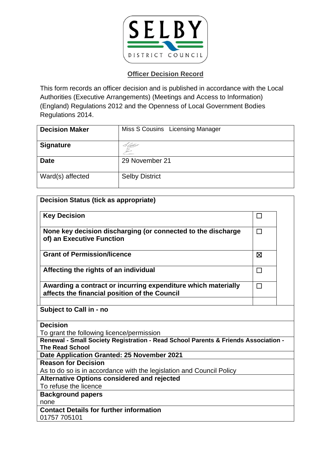

This form records an officer decision and is published in accordance with the Local Authorities (Executive Arrangements) (Meetings and Access to Information) (England) Regulations 2012 and the Openness of Local Government Bodies Regulations 2014.

| <b>Decision Maker</b> | Miss S Cousins Licensing Manager |
|-----------------------|----------------------------------|
| <b>Signature</b>      |                                  |
| <b>Date</b>           | 29 November 21                   |
| Ward(s) affected      | <b>Selby District</b>            |

| <b>Decision Status (tick as appropriate)</b>                                                                   |        |  |
|----------------------------------------------------------------------------------------------------------------|--------|--|
| <b>Key Decision</b>                                                                                            | $\Box$ |  |
| None key decision discharging (or connected to the discharge<br>of) an Executive Function                      | П      |  |
| <b>Grant of Permission/licence</b>                                                                             | ⊠      |  |
| Affecting the rights of an individual                                                                          | $\Box$ |  |
| Awarding a contract or incurring expenditure which materially<br>affects the financial position of the Council | П      |  |
| Subject to Call in - no                                                                                        |        |  |
| <b>Decision</b><br>To grant the following licence/permission                                                   |        |  |
| Renewal - Small Society Registration - Read School Parents & Friends Association -<br><b>The Read School</b>   |        |  |
| Date Application Granted: 25 November 2021                                                                     |        |  |
| <b>Reason for Decision</b>                                                                                     |        |  |
| As to do so is in accordance with the legislation and Council Policy                                           |        |  |
| <b>Alternative Options considered and rejected</b>                                                             |        |  |
| To refuse the licence                                                                                          |        |  |
| <b>Background papers</b>                                                                                       |        |  |
| none                                                                                                           |        |  |
| <b>Contact Details for further information</b>                                                                 |        |  |
| 01757 705101                                                                                                   |        |  |